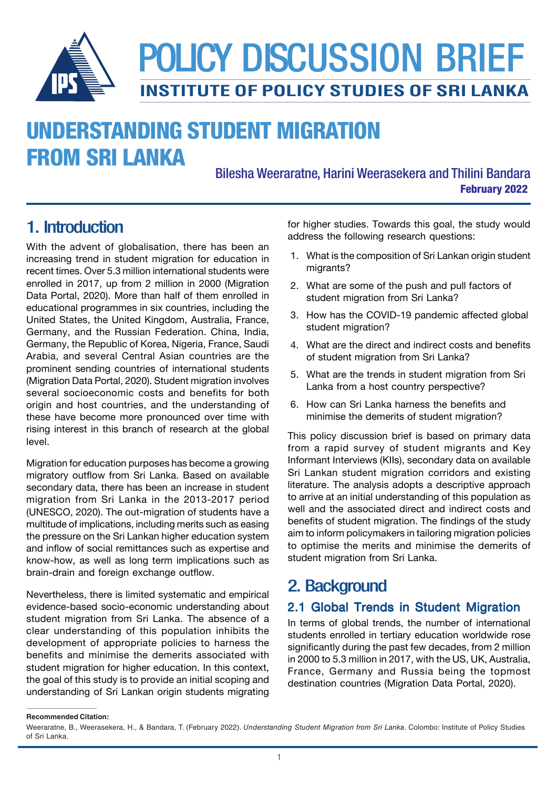

# UNDERSTANDING STUDENT MIGRATION FROM SRI LANKA

February 2022 Bilesha Weeraratne, Harini Weerasekera and Thilini Bandara

With the advent of globalisation, there has been an increasing trend in student migration for education in recent times. Over 5.3 million international students were enrolled in 2017, up from 2 million in 2000 (Migration Data Portal, 2020). More than half of them enrolled in educational programmes in six countries, including the United States, the United Kingdom, Australia, France, Germany, and the Russian Federation. China, India, Germany, the Republic of Korea, Nigeria, France, Saudi Arabia, and several Central Asian countries are the prominent sending countries of international students (Migration Data Portal, 2020). Student migration involves several socioeconomic costs and benefits for both origin and host countries, and the understanding of these have become more pronounced over time with rising interest in this branch of research at the global level.

Migration for education purposes has become a growing migratory outflow from Sri Lanka. Based on available secondary data, there has been an increase in student migration from Sri Lanka in the 2013-2017 period (UNESCO, 2020). The out-migration of students have a multitude of implications, including merits such as easing the pressure on the Sri Lankan higher education system and inflow of social remittances such as expertise and know-how, as well as long term implications such as brain-drain and foreign exchange outflow.

Nevertheless, there is limited systematic and empirical evidence-based socio-economic understanding about student migration from Sri Lanka. The absence of a clear understanding of this population inhibits the development of appropriate policies to harness the benefits and minimise the demerits associated with student migration for higher education. In this context, the goal of this study is to provide an initial scoping and understanding of Sri Lankan origin students migrating

1. Introduction **for higher studies. Towards this goal, the study would** address the following research questions:

- 1. What is the composition of Sri Lankan origin student migrants?
- 2. What are some of the push and pull factors of student migration from Sri Lanka?
- 3. How has the COVID-19 pandemic affected global student migration?
- 4. What are the direct and indirect costs and benefits of student migration from Sri Lanka?
- 5. What are the trends in student migration from Sri Lanka from a host country perspective?
- 6. How can Sri Lanka harness the benefits and minimise the demerits of student migration?

This policy discussion brief is based on primary data from a rapid survey of student migrants and Key Informant Interviews (KIIs), secondary data on available Sri Lankan student migration corridors and existing literature. The analysis adopts a descriptive approach to arrive at an initial understanding of this population as well and the associated direct and indirect costs and benefits of student migration. The findings of the study aim to inform policymakers in tailoring migration policies to optimise the merits and minimise the demerits of student migration from Sri Lanka.

## 2. Background

### 2.1 Global Trends in Student Migration

In terms of global trends, the number of international students enrolled in tertiary education worldwide rose significantly during the past few decades, from 2 million in 2000 to 5.3 million in 2017, with the US, UK, Australia, France, Germany and Russia being the topmost destination countries (Migration Data Portal, 2020).

**Recommended Citation:**

Weeraratne, B., Weerasekera, H., & Bandara, T. (February 2022). Understanding Student Migration from Sri Lanka. Colombo: Institute of Policy Studies of Sri Lanka.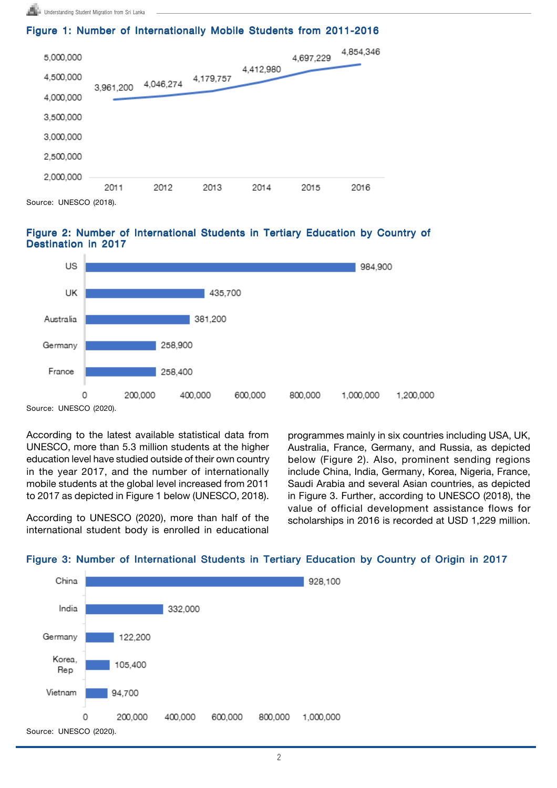#### Figure 1: Number of Internationally Mobile Students from 2011-2016



Source: UNESCO (2018).





Source: UNESCO (2020).

According to the latest available statistical data from UNESCO, more than 5.3 million students at the higher education level have studied outside of their own country in the year 2017, and the number of internationally mobile students at the global level increased from 2011 to 2017 as depicted in Figure 1 below (UNESCO, 2018).

According to UNESCO (2020), more than half of the international student body is enrolled in educational programmes mainly in six countries including USA, UK, Australia, France, Germany, and Russia, as depicted below (Figure 2). Also, prominent sending regions include China, India, Germany, Korea, Nigeria, France, Saudi Arabia and several Asian countries, as depicted in Figure 3. Further, according to UNESCO (2018), the value of official development assistance flows for scholarships in 2016 is recorded at USD 1,229 million.



#### Figure 3: Number of International Students in Tertiary Education by Country of Origin in 2017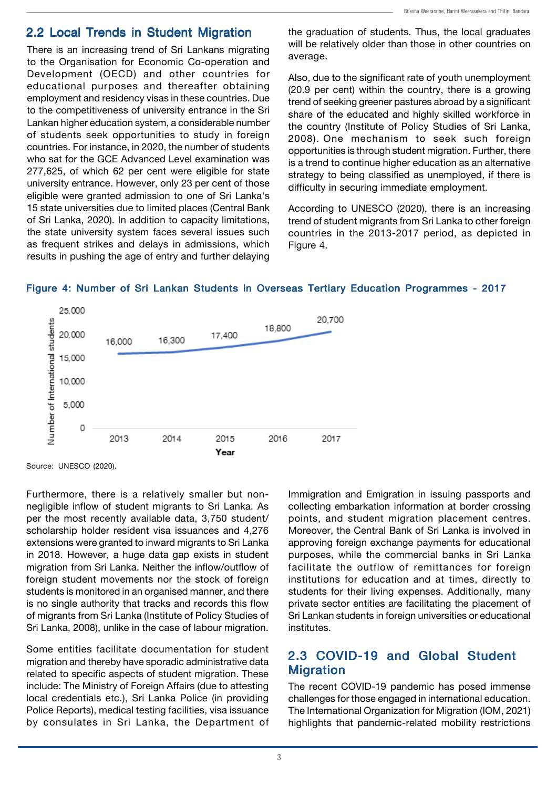#### 2.2 Local Trends in Student Migration

There is an increasing trend of Sri Lankans migrating to the Organisation for Economic Co-operation and Development (OECD) and other countries for educational purposes and thereafter obtaining employment and residency visas in these countries. Due to the competitiveness of university entrance in the Sri Lankan higher education system, a considerable number of students seek opportunities to study in foreign countries. For instance, in 2020, the number of students who sat for the GCE Advanced Level examination was 277,625, of which 62 per cent were eligible for state university entrance. However, only 23 per cent of those eligible were granted admission to one of Sri Lanka's 15 state universities due to limited places (Central Bank of Sri Lanka, 2020). In addition to capacity limitations, the state university system faces several issues such as frequent strikes and delays in admissions, which results in pushing the age of entry and further delaying

the graduation of students. Thus, the local graduates will be relatively older than those in other countries on average.

Also, due to the significant rate of youth unemployment (20.9 per cent) within the country, there is a growing trend of seeking greener pastures abroad by a significant share of the educated and highly skilled workforce in the country (Institute of Policy Studies of Sri Lanka, 2008). One mechanism to seek such foreign opportunities is through student migration. Further, there is a trend to continue higher education as an alternative strategy to being classified as unemployed, if there is difficulty in securing immediate employment.

According to UNESCO (2020), there is an increasing trend of student migrants from Sri Lanka to other foreign countries in the 2013-2017 period, as depicted in Figure 4.



#### Figure 4: Number of Sri Lankan Students in Overseas Tertiary Education Programmes - 2017

Source: UNESCO (2020).

Furthermore, there is a relatively smaller but nonnegligible inflow of student migrants to Sri Lanka. As per the most recently available data, 3,750 student/ scholarship holder resident visa issuances and 4,276 extensions were granted to inward migrants to Sri Lanka in 2018. However, a huge data gap exists in student migration from Sri Lanka. Neither the inflow/outflow of foreign student movements nor the stock of foreign students is monitored in an organised manner, and there is no single authority that tracks and records this flow of migrants from Sri Lanka (Institute of Policy Studies of Sri Lanka, 2008), unlike in the case of labour migration.

Some entities facilitate documentation for student migration and thereby have sporadic administrative data related to specific aspects of student migration. These include: The Ministry of Foreign Affairs (due to attesting local credentials etc.), Sri Lanka Police (in providing Police Reports), medical testing facilities, visa issuance by consulates in Sri Lanka, the Department of Immigration and Emigration in issuing passports and collecting embarkation information at border crossing points, and student migration placement centres. Moreover, the Central Bank of Sri Lanka is involved in approving foreign exchange payments for educational purposes, while the commercial banks in Sri Lanka facilitate the outflow of remittances for foreign institutions for education and at times, directly to students for their living expenses. Additionally, many private sector entities are facilitating the placement of Sri Lankan students in foreign universities or educational institutes.

### 2.3 COVID-19 and Global Student **Migration**

The recent COVID-19 pandemic has posed immense challenges for those engaged in international education. The International Organization for Migration (IOM, 2021) highlights that pandemic-related mobility restrictions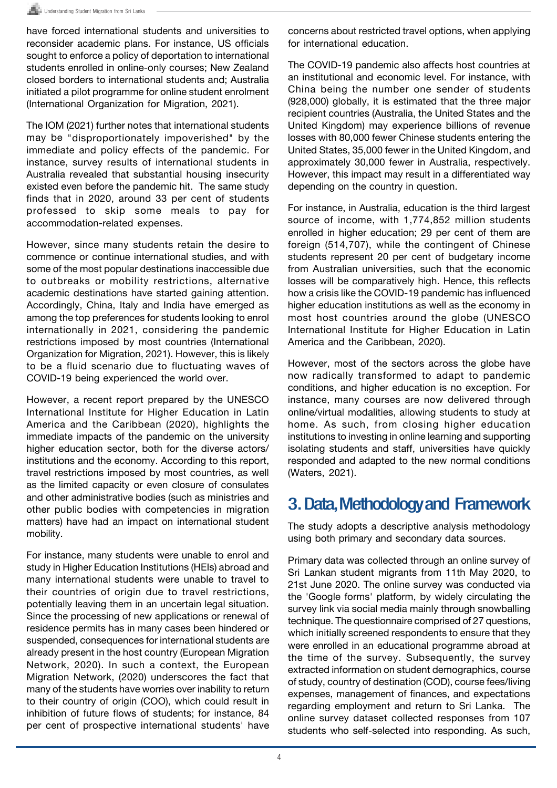have forced international students and universities to reconsider academic plans. For instance, US officials sought to enforce a policy of deportation to international students enrolled in online-only courses; New Zealand closed borders to international students and; Australia initiated a pilot programme for online student enrolment (International Organization for Migration, 2021).

The IOM (2021) further notes that international students may be "disproportionately impoverished" by the immediate and policy effects of the pandemic. For instance, survey results of international students in Australia revealed that substantial housing insecurity existed even before the pandemic hit. The same study finds that in 2020, around 33 per cent of students professed to skip some meals to pay for accommodation-related expenses.

However, since many students retain the desire to commence or continue international studies, and with some of the most popular destinations inaccessible due to outbreaks or mobility restrictions, alternative academic destinations have started gaining attention. Accordingly, China, Italy and India have emerged as among the top preferences for students looking to enrol internationally in 2021, considering the pandemic restrictions imposed by most countries (International Organization for Migration, 2021). However, this is likely to be a fluid scenario due to fluctuating waves of COVID-19 being experienced the world over.

However, a recent report prepared by the UNESCO International Institute for Higher Education in Latin America and the Caribbean (2020), highlights the immediate impacts of the pandemic on the university higher education sector, both for the diverse actors/ institutions and the economy. According to this report, travel restrictions imposed by most countries, as well as the limited capacity or even closure of consulates and other administrative bodies (such as ministries and other public bodies with competencies in migration matters) have had an impact on international student mobility.

For instance, many students were unable to enrol and study in Higher Education Institutions (HEIs) abroad and many international students were unable to travel to their countries of origin due to travel restrictions, potentially leaving them in an uncertain legal situation. Since the processing of new applications or renewal of residence permits has in many cases been hindered or suspended, consequences for international students are already present in the host country (European Migration Network, 2020). In such a context, the European Migration Network, (2020) underscores the fact that many of the students have worries over inability to return to their country of origin (COO), which could result in inhibition of future flows of students; for instance, 84 per cent of prospective international students' have

concerns about restricted travel options, when applying for international education.

The COVID-19 pandemic also affects host countries at an institutional and economic level. For instance, with China being the number one sender of students (928,000) globally, it is estimated that the three major recipient countries (Australia, the United States and the United Kingdom) may experience billions of revenue losses with 80,000 fewer Chinese students entering the United States, 35,000 fewer in the United Kingdom, and approximately 30,000 fewer in Australia, respectively. However, this impact may result in a differentiated way depending on the country in question.

For instance, in Australia, education is the third largest source of income, with 1,774,852 million students enrolled in higher education; 29 per cent of them are foreign (514,707), while the contingent of Chinese students represent 20 per cent of budgetary income from Australian universities, such that the economic losses will be comparatively high. Hence, this reflects how a crisis like the COVID-19 pandemic has influenced higher education institutions as well as the economy in most host countries around the globe (UNESCO International Institute for Higher Education in Latin America and the Caribbean, 2020).

However, most of the sectors across the globe have now radically transformed to adapt to pandemic conditions, and higher education is no exception. For instance, many courses are now delivered through online/virtual modalities, allowing students to study at home. As such, from closing higher education institutions to investing in online learning and supporting isolating students and staff, universities have quickly responded and adapted to the new normal conditions (Waters, 2021).

## 3. Data, Methodology and Framework

The study adopts a descriptive analysis methodology using both primary and secondary data sources.

Primary data was collected through an online survey of Sri Lankan student migrants from 11th May 2020, to 21st June 2020. The online survey was conducted via the 'Google forms' platform, by widely circulating the survey link via social media mainly through snowballing technique. The questionnaire comprised of 27 questions, which initially screened respondents to ensure that they were enrolled in an educational programme abroad at the time of the survey. Subsequently, the survey extracted information on student demographics, course of study, country of destination (COD), course fees/living expenses, management of finances, and expectations regarding employment and return to Sri Lanka. The online survey dataset collected responses from 107 students who self-selected into responding. As such,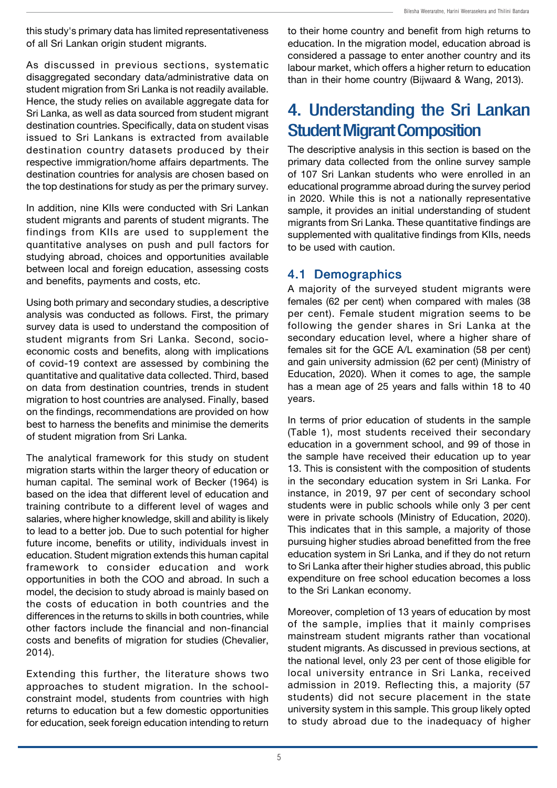this study's primary data has limited representativeness of all Sri Lankan origin student migrants.

As discussed in previous sections, systematic disaggregated secondary data/administrative data on student migration from Sri Lanka is not readily available. Hence, the study relies on available aggregate data for Sri Lanka, as well as data sourced from student migrant destination countries. Specifically, data on student visas issued to Sri Lankans is extracted from available destination country datasets produced by their respective immigration/home affairs departments. The destination countries for analysis are chosen based on the top destinations for study as per the primary survey.

In addition, nine KIIs were conducted with Sri Lankan student migrants and parents of student migrants. The findings from KIIs are used to supplement the quantitative analyses on push and pull factors for studying abroad, choices and opportunities available between local and foreign education, assessing costs and benefits, payments and costs, etc.

Using both primary and secondary studies, a descriptive analysis was conducted as follows. First, the primary survey data is used to understand the composition of student migrants from Sri Lanka. Second, socioeconomic costs and benefits, along with implications of covid-19 context are assessed by combining the quantitative and qualitative data collected. Third, based on data from destination countries, trends in student migration to host countries are analysed. Finally, based on the findings, recommendations are provided on how best to harness the benefits and minimise the demerits of student migration from Sri Lanka.

The analytical framework for this study on student migration starts within the larger theory of education or human capital. The seminal work of Becker (1964) is based on the idea that different level of education and training contribute to a different level of wages and salaries, where higher knowledge, skill and ability is likely to lead to a better job. Due to such potential for higher future income, benefits or utility, individuals invest in education. Student migration extends this human capital framework to consider education and work opportunities in both the COO and abroad. In such a model, the decision to study abroad is mainly based on the costs of education in both countries and the differences in the returns to skills in both countries, while other factors include the financial and non-financial costs and benefits of migration for studies (Chevalier, 2014).

Extending this further, the literature shows two approaches to student migration. In the schoolconstraint model, students from countries with high returns to education but a few domestic opportunities for education, seek foreign education intending to return to their home country and benefit from high returns to education. In the migration model, education abroad is considered a passage to enter another country and its labour market, which offers a higher return to education than in their home country (Bijwaard & Wang, 2013).

# 4. Understanding the Sri Lankan Student Migrant Composition

The descriptive analysis in this section is based on the primary data collected from the online survey sample of 107 Sri Lankan students who were enrolled in an educational programme abroad during the survey period in 2020. While this is not a nationally representative sample, it provides an initial understanding of student migrants from Sri Lanka. These quantitative findings are supplemented with qualitative findings from KIIs, needs to be used with caution.

### 4.1 Demographics

A majority of the surveyed student migrants were females (62 per cent) when compared with males (38 per cent). Female student migration seems to be following the gender shares in Sri Lanka at the secondary education level, where a higher share of females sit for the GCE A/L examination (58 per cent) and gain university admission (62 per cent) (Ministry of Education, 2020). When it comes to age, the sample has a mean age of 25 years and falls within 18 to 40 years.

In terms of prior education of students in the sample (Table 1), most students received their secondary education in a government school, and 99 of those in the sample have received their education up to year 13. This is consistent with the composition of students in the secondary education system in Sri Lanka. For instance, in 2019, 97 per cent of secondary school students were in public schools while only 3 per cent were in private schools (Ministry of Education, 2020). This indicates that in this sample, a majority of those pursuing higher studies abroad benefitted from the free education system in Sri Lanka, and if they do not return to Sri Lanka after their higher studies abroad, this public expenditure on free school education becomes a loss to the Sri Lankan economy.

Moreover, completion of 13 years of education by most of the sample, implies that it mainly comprises mainstream student migrants rather than vocational student migrants. As discussed in previous sections, at the national level, only 23 per cent of those eligible for local university entrance in Sri Lanka, received admission in 2019. Reflecting this, a majority (57 students) did not secure placement in the state university system in this sample. This group likely opted to study abroad due to the inadequacy of higher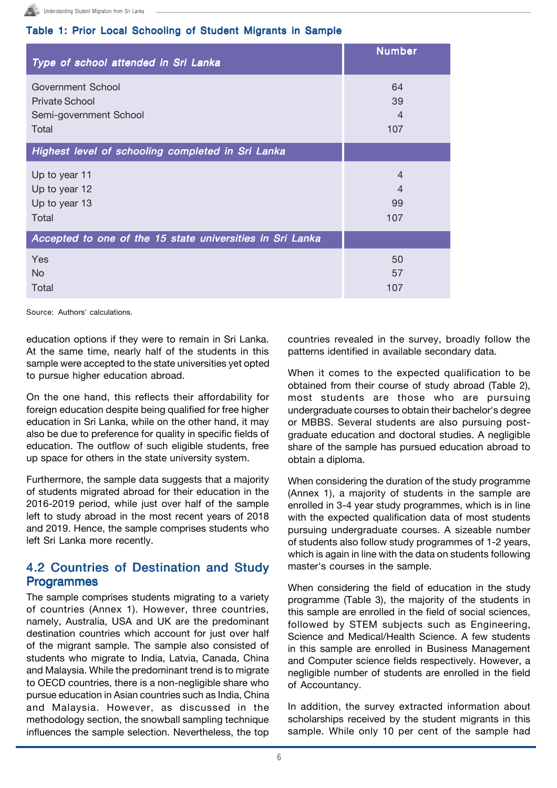#### Table 1: Prior Local Schooling of Student Migrants in Sample

| Type of school attended in Sri Lanka                      | <b>Number</b>  |
|-----------------------------------------------------------|----------------|
| Government School                                         | 64             |
| <b>Private School</b>                                     | 39             |
| Semi-government School                                    | 4              |
| Total                                                     | 107            |
| Highest level of schooling completed in Sri Lanka         |                |
| Up to year 11                                             | $\overline{4}$ |
| Up to year 12                                             | $\overline{4}$ |
| Up to year 13                                             | 99             |
| Total                                                     | 107            |
| Accepted to one of the 15 state universities in Sri Lanka |                |
| Yes                                                       | 50             |
| No.                                                       | 57             |
| Total                                                     | 107            |

Source: Authors' calculations.

education options if they were to remain in Sri Lanka. At the same time, nearly half of the students in this sample were accepted to the state universities yet opted to pursue higher education abroad.

On the one hand, this reflects their affordability for foreign education despite being qualified for free higher education in Sri Lanka, while on the other hand, it may also be due to preference for quality in specific fields of education. The outflow of such eligible students, free up space for others in the state university system.

Furthermore, the sample data suggests that a majority of students migrated abroad for their education in the 2016-2019 period, while just over half of the sample left to study abroad in the most recent years of 2018 and 2019. Hence, the sample comprises students who left Sri Lanka more recently.

### 4.2 Countries of Destination and Study Programmes

The sample comprises students migrating to a variety of countries (Annex 1). However, three countries, namely, Australia, USA and UK are the predominant destination countries which account for just over half of the migrant sample. The sample also consisted of students who migrate to India, Latvia, Canada, China and Malaysia. While the predominant trend is to migrate to OECD countries, there is a non-negligible share who pursue education in Asian countries such as India, China and Malaysia. However, as discussed in the methodology section, the snowball sampling technique influences the sample selection. Nevertheless, the top

countries revealed in the survey, broadly follow the patterns identified in available secondary data.

When it comes to the expected qualification to be obtained from their course of study abroad (Table 2), most students are those who are pursuing undergraduate courses to obtain their bachelor's degree or MBBS. Several students are also pursuing postgraduate education and doctoral studies. A negligible share of the sample has pursued education abroad to obtain a diploma.

When considering the duration of the study programme (Annex 1), a majority of students in the sample are enrolled in 3-4 year study programmes, which is in line with the expected qualification data of most students pursuing undergraduate courses. A sizeable number of students also follow study programmes of 1-2 years, which is again in line with the data on students following master's courses in the sample.

When considering the field of education in the study programme (Table 3), the majority of the students in this sample are enrolled in the field of social sciences, followed by STEM subjects such as Engineering, Science and Medical/Health Science. A few students in this sample are enrolled in Business Management and Computer science fields respectively. However, a negligible number of students are enrolled in the field of Accountancy.

In addition, the survey extracted information about scholarships received by the student migrants in this sample. While only 10 per cent of the sample had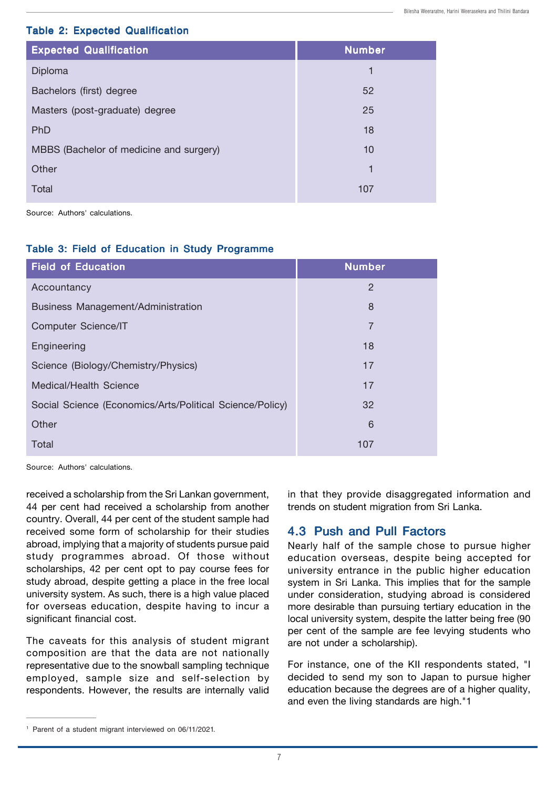#### Table 2: Expected Qualification

| <b>Expected Qualification</b>           | <b>Number</b> |
|-----------------------------------------|---------------|
| Diploma                                 | 1             |
| Bachelors (first) degree                | 52            |
| Masters (post-graduate) degree          | 25            |
| PhD                                     | 18            |
| MBBS (Bachelor of medicine and surgery) | 10            |
| Other                                   | 1             |
| Total                                   | 107           |

Source: Authors' calculations.

#### Table 3: Field of Education in Study Programme

| <b>Field of Education</b>                                | <b>Number</b>  |
|----------------------------------------------------------|----------------|
| Accountancy                                              | $\overline{2}$ |
| <b>Business Management/Administration</b>                | 8              |
| <b>Computer Science/IT</b>                               | 7              |
| Engineering                                              | 18             |
| Science (Biology/Chemistry/Physics)                      | 17             |
| Medical/Health Science                                   | 17             |
| Social Science (Economics/Arts/Political Science/Policy) | 32             |
| Other                                                    | 6              |
| Total                                                    | 107            |

Source: Authors' calculations.

received a scholarship from the Sri Lankan government, 44 per cent had received a scholarship from another country. Overall, 44 per cent of the student sample had received some form of scholarship for their studies abroad, implying that a majority of students pursue paid study programmes abroad. Of those without scholarships, 42 per cent opt to pay course fees for study abroad, despite getting a place in the free local university system. As such, there is a high value placed for overseas education, despite having to incur a significant financial cost.

The caveats for this analysis of student migrant composition are that the data are not nationally representative due to the snowball sampling technique employed, sample size and self-selection by respondents. However, the results are internally valid

in that they provide disaggregated information and trends on student migration from Sri Lanka.

### 4.3 Push and Pull Factors

Nearly half of the sample chose to pursue higher education overseas, despite being accepted for university entrance in the public higher education system in Sri Lanka. This implies that for the sample under consideration, studying abroad is considered more desirable than pursuing tertiary education in the local university system, despite the latter being free (90 per cent of the sample are fee levying students who are not under a scholarship).

For instance, one of the KII respondents stated, "I decided to send my son to Japan to pursue higher education because the degrees are of a higher quality, and even the living standards are high."1

<sup>1</sup> Parent of a student migrant interviewed on 06/11/2021.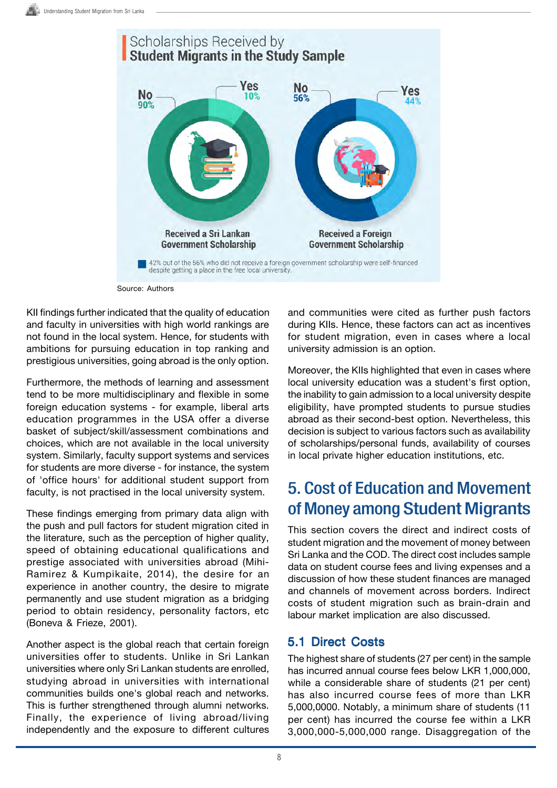

Source: Authors

KII findings further indicated that the quality of education and faculty in universities with high world rankings are not found in the local system. Hence, for students with ambitions for pursuing education in top ranking and prestigious universities, going abroad is the only option.

Furthermore, the methods of learning and assessment tend to be more multidisciplinary and flexible in some foreign education systems - for example, liberal arts education programmes in the USA offer a diverse basket of subject/skill/assessment combinations and choices, which are not available in the local university system. Similarly, faculty support systems and services for students are more diverse - for instance, the system of 'office hours' for additional student support from faculty, is not practised in the local university system.

These findings emerging from primary data align with the push and pull factors for student migration cited in the literature, such as the perception of higher quality, speed of obtaining educational qualifications and prestige associated with universities abroad (Mihi-Ramirez & Kumpikaite, 2014), the desire for an experience in another country, the desire to migrate permanently and use student migration as a bridging period to obtain residency, personality factors, etc (Boneva & Frieze, 2001).

Another aspect is the global reach that certain foreign universities offer to students. Unlike in Sri Lankan universities where only Sri Lankan students are enrolled, studying abroad in universities with international communities builds one's global reach and networks. This is further strengthened through alumni networks. Finally, the experience of living abroad/living independently and the exposure to different cultures

and communities were cited as further push factors during KIIs. Hence, these factors can act as incentives for student migration, even in cases where a local university admission is an option.

Moreover, the KIIs highlighted that even in cases where local university education was a student's first option, the inability to gain admission to a local university despite eligibility, have prompted students to pursue studies abroad as their second-best option. Nevertheless, this decision is subject to various factors such as availability of scholarships/personal funds, availability of courses in local private higher education institutions, etc.

# 5. Cost of Education and Movement of Money among Student Migrants

This section covers the direct and indirect costs of student migration and the movement of money between Sri Lanka and the COD. The direct cost includes sample data on student course fees and living expenses and a discussion of how these student finances are managed and channels of movement across borders. Indirect costs of student migration such as brain-drain and labour market implication are also discussed.

### 5.1 Direct Costs

The highest share of students (27 per cent) in the sample has incurred annual course fees below LKR 1,000,000, while a considerable share of students (21 per cent) has also incurred course fees of more than LKR 5,000,0000. Notably, a minimum share of students (11 per cent) has incurred the course fee within a LKR 3,000,000-5,000,000 range. Disaggregation of the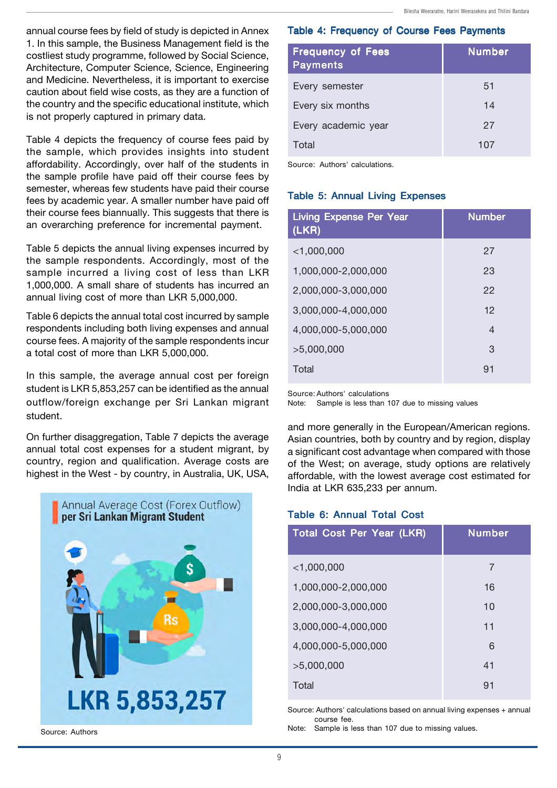annual course fees by field of study is depicted in Annex 1. In this sample, the Business Management field is the costliest study programme, followed by Social Science, Architecture, Computer Science, Science, Engineering and Medicine. Nevertheless, it is important to exercise caution about field wise costs, as they are a function of the country and the specific educational institute, which is not properly captured in primary data.

Table 4 depicts the frequency of course fees paid by the sample, which provides insights into student affordability. Accordingly, over half of the students in the sample profile have paid off their course fees by semester, whereas few students have paid their course fees by academic year. A smaller number have paid off their course fees biannually. This suggests that there is an overarching preference for incremental payment.

Table 5 depicts the annual living expenses incurred by the sample respondents. Accordingly, most of the sample incurred a living cost of less than LKR 1,000,000. A small share of students has incurred an annual living cost of more than LKR 5,000,000.

Table 6 depicts the annual total cost incurred by sample respondents including both living expenses and annual course fees. A majority of the sample respondents incur a total cost of more than LKR 5,000,000.

In this sample, the average annual cost per foreign student is LKR 5,853,257 can be identified as the annual outflow/foreign exchange per Sri Lankan migrant student.

On further disaggregation, Table 7 depicts the average annual total cost expenses for a student migrant, by country, region and qualification. Average costs are highest in the West - by country, in Australia, UK, USA,



Source: Authors

#### Table 4: Frequency of Course Fees Payments

| <b>Frequency of Fees</b><br><b>Payments</b> | <b>Number</b> |
|---------------------------------------------|---------------|
| Every semester                              | 51            |
| Every six months                            | 14            |
| Every academic year                         | 27            |
| Total                                       | 107           |

Source: Authors' calculations.

#### Table 5: Annual Living Expenses

| <b>Living Expense Per Year</b><br>(LKR) | <b>Number</b> |
|-----------------------------------------|---------------|
| $<$ 1,000,000                           | 27            |
| 1,000,000-2,000,000                     | 23            |
| 2,000,000-3,000,000                     | 22            |
| 3,000,000-4,000,000                     | 12            |
| 4,000,000-5,000,000                     | 4             |
| >5,000,000                              | 3             |
| Total                                   | 91            |

Source: Authors' calculations

Note: Sample is less than 107 due to missing values

and more generally in the European/American regions. Asian countries, both by country and by region, display a significant cost advantage when compared with those of the West; on average, study options are relatively affordable, with the lowest average cost estimated for India at LKR 635,233 per annum.

#### Table 6: Annual Total Cost

| <b>Total Cost Per Year (LKR)</b> | <b>Number</b> |
|----------------------------------|---------------|
| $<$ 1,000,000                    | 7             |
| 1,000,000-2,000,000              | 16            |
| 2,000,000-3,000,000              | 10            |
| 3,000,000-4,000,000              | 11            |
| 4,000,000-5,000,000              | 6             |
| >5,000,000                       | 41            |
| Total                            | 91            |

Source: Authors' calculations based on annual living expenses + annual course fee.

Note: Sample is less than 107 due to missing values.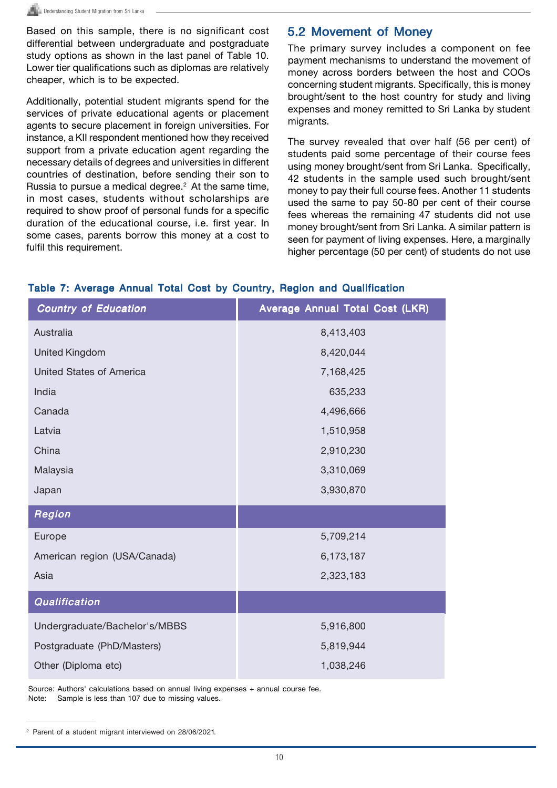Based on this sample, there is no significant cost differential between undergraduate and postgraduate study options as shown in the last panel of Table 10. Lower tier qualifications such as diplomas are relatively cheaper, which is to be expected.

Additionally, potential student migrants spend for the services of private educational agents or placement agents to secure placement in foreign universities. For instance, a KII respondent mentioned how they received support from a private education agent regarding the necessary details of degrees and universities in different countries of destination, before sending their son to Russia to pursue a medical degree. 2 At the same time, in most cases, students without scholarships are required to show proof of personal funds for a specific duration of the educational course, i.e. first year. In some cases, parents borrow this money at a cost to fulfil this requirement.

### 5.2 Movement of Money

The primary survey includes a component on fee payment mechanisms to understand the movement of money across borders between the host and COOs concerning student migrants. Specifically, this is money brought/sent to the host country for study and living expenses and money remitted to Sri Lanka by student migrants.

The survey revealed that over half (56 per cent) of students paid some percentage of their course fees using money brought/sent from Sri Lanka. Specifically, 42 students in the sample used such brought/sent money to pay their full course fees. Another 11 students used the same to pay 50-80 per cent of their course fees whereas the remaining 47 students did not use money brought/sent from Sri Lanka. A similar pattern is seen for payment of living expenses. Here, a marginally higher percentage (50 per cent) of students do not use

| <b>Country of Education</b>   | Average Annual Total Cost (LKR) |
|-------------------------------|---------------------------------|
| Australia                     | 8,413,403                       |
| <b>United Kingdom</b>         | 8,420,044                       |
| United States of America      | 7,168,425                       |
| India                         | 635,233                         |
| Canada                        | 4,496,666                       |
| Latvia                        | 1,510,958                       |
| China                         | 2,910,230                       |
| Malaysia                      | 3,310,069                       |
| Japan                         | 3,930,870                       |
| Region                        |                                 |
| Europe                        | 5,709,214                       |
| American region (USA/Canada)  | 6,173,187                       |
| Asia                          | 2,323,183                       |
| Qualification                 |                                 |
| Undergraduate/Bachelor's/MBBS | 5,916,800                       |
| Postgraduate (PhD/Masters)    | 5,819,944                       |
| Other (Diploma etc)           | 1,038,246                       |

#### Table 7: Average Annual Total Cost by Country, Region and Qualification

Source: Authors' calculations based on annual living expenses + annual course fee. Note: Sample is less than 107 due to missing values.

<sup>2</sup> Parent of a student migrant interviewed on 28/06/2021.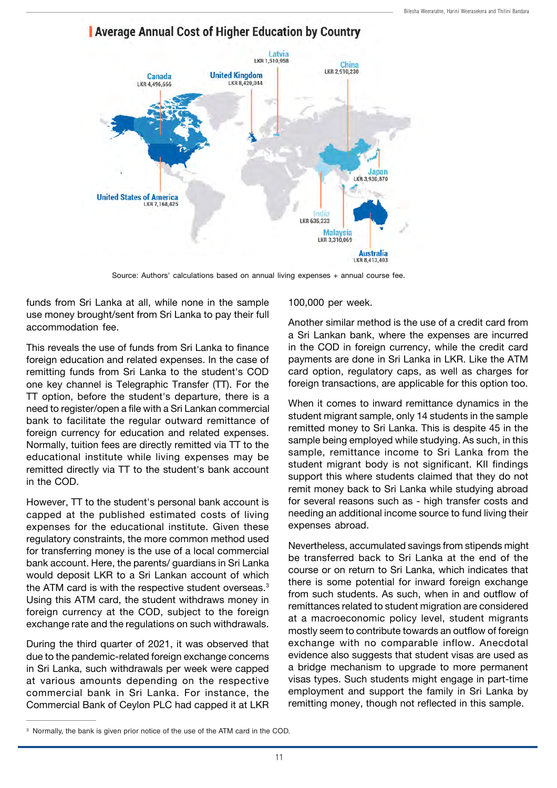

### **Average Annual Cost of Higher Education by Country**

Source: Authors' calculations based on annual living expenses + annual course fee.

funds from Sri Lanka at all, while none in the sample use money brought/sent from Sri Lanka to pay their full accommodation fee.

This reveals the use of funds from Sri Lanka to finance foreign education and related expenses. In the case of remitting funds from Sri Lanka to the student's COD one key channel is Telegraphic Transfer (TT). For the TT option, before the student's departure, there is a need to register/open a file with a Sri Lankan commercial bank to facilitate the regular outward remittance of foreign currency for education and related expenses. Normally, tuition fees are directly remitted via TT to the educational institute while living expenses may be remitted directly via TT to the student's bank account in the COD.

However, TT to the student's personal bank account is capped at the published estimated costs of living expenses for the educational institute. Given these regulatory constraints, the more common method used for transferring money is the use of a local commercial bank account. Here, the parents/ guardians in Sri Lanka would deposit LKR to a Sri Lankan account of which the ATM card is with the respective student overseas. $^{\rm 3}$ Using this ATM card, the student withdraws money in foreign currency at the COD, subject to the foreign exchange rate and the regulations on such withdrawals.

During the third quarter of 2021, it was observed that due to the pandemic-related foreign exchange concerns in Sri Lanka, such withdrawals per week were capped at various amounts depending on the respective commercial bank in Sri Lanka. For instance, the Commercial Bank of Ceylon PLC had capped it at LKR

100,000 per week.

Another similar method is the use of a credit card from a Sri Lankan bank, where the expenses are incurred in the COD in foreign currency, while the credit card payments are done in Sri Lanka in LKR. Like the ATM card option, regulatory caps, as well as charges for foreign transactions, are applicable for this option too.

When it comes to inward remittance dynamics in the student migrant sample, only 14 students in the sample remitted money to Sri Lanka. This is despite 45 in the sample being employed while studying. As such, in this sample, remittance income to Sri Lanka from the student migrant body is not significant. KII findings support this where students claimed that they do not remit money back to Sri Lanka while studying abroad for several reasons such as - high transfer costs and needing an additional income source to fund living their expenses abroad.

Nevertheless, accumulated savings from stipends might be transferred back to Sri Lanka at the end of the course or on return to Sri Lanka, which indicates that there is some potential for inward foreign exchange from such students. As such, when in and outflow of remittances related to student migration are considered at a macroeconomic policy level, student migrants mostly seem to contribute towards an outflow of foreign exchange with no comparable inflow. Anecdotal evidence also suggests that student visas are used as a bridge mechanism to upgrade to more permanent visas types. Such students might engage in part-time employment and support the family in Sri Lanka by remitting money, though not reflected in this sample.

<sup>3</sup> Normally, the bank is given prior notice of the use of the ATM card in the COD.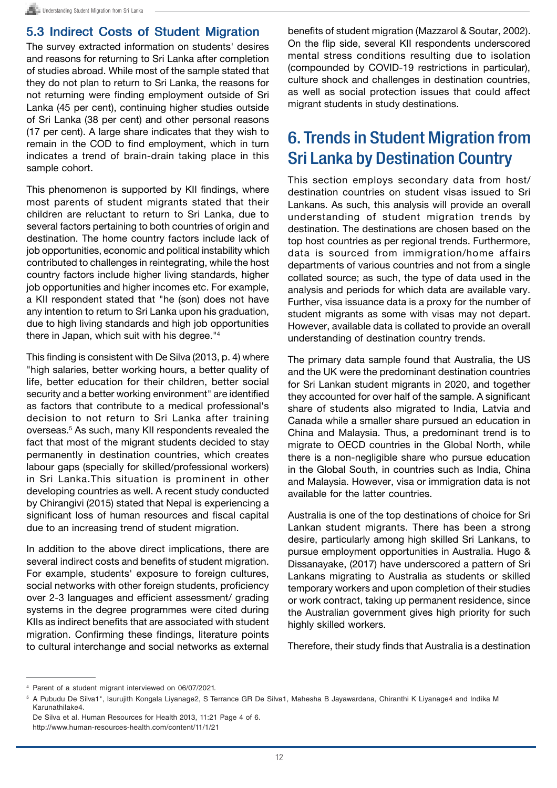### 5.3 Indirect Costs of Student Migration

The survey extracted information on students' desires and reasons for returning to Sri Lanka after completion of studies abroad. While most of the sample stated that they do not plan to return to Sri Lanka, the reasons for not returning were finding employment outside of Sri Lanka (45 per cent), continuing higher studies outside of Sri Lanka (38 per cent) and other personal reasons (17 per cent). A large share indicates that they wish to remain in the COD to find employment, which in turn indicates a trend of brain-drain taking place in this sample cohort.

This phenomenon is supported by KII findings, where most parents of student migrants stated that their children are reluctant to return to Sri Lanka, due to several factors pertaining to both countries of origin and destination. The home country factors include lack of job opportunities, economic and political instability which contributed to challenges in reintegrating, while the host country factors include higher living standards, higher job opportunities and higher incomes etc. For example, a KII respondent stated that "he (son) does not have any intention to return to Sri Lanka upon his graduation, due to high living standards and high job opportunities there in Japan, which suit with his degree."4

This finding is consistent with De Silva (2013, p. 4) where "high salaries, better working hours, a better quality of life, better education for their children, better social security and a better working environment" are identified as factors that contribute to a medical professional's decision to not return to Sri Lanka after training overseas. <sup>5</sup> As such, many KII respondents revealed the fact that most of the migrant students decided to stay permanently in destination countries, which creates labour gaps (specially for skilled/professional workers) in Sri Lanka.This situation is prominent in other developing countries as well. A recent study conducted by Chirangivi (2015) stated that Nepal is experiencing a significant loss of human resources and fiscal capital due to an increasing trend of student migration.

In addition to the above direct implications, there are several indirect costs and benefits of student migration. For example, students' exposure to foreign cultures, social networks with other foreign students, proficiency over 2-3 languages and efficient assessment/ grading systems in the degree programmes were cited during KIIs as indirect benefits that are associated with student migration. Confirming these findings, literature points to cultural interchange and social networks as external benefits of student migration (Mazzarol & Soutar, 2002). On the flip side, several KII respondents underscored mental stress conditions resulting due to isolation (compounded by COVID-19 restrictions in particular), culture shock and challenges in destination countries, as well as social protection issues that could affect migrant students in study destinations.

# 6. Trends in Student Migration from Sri Lanka by Destination Country

This section employs secondary data from host/ destination countries on student visas issued to Sri Lankans. As such, this analysis will provide an overall understanding of student migration trends by destination. The destinations are chosen based on the top host countries as per regional trends. Furthermore, data is sourced from immigration/home affairs departments of various countries and not from a single collated source; as such, the type of data used in the analysis and periods for which data are available vary. Further, visa issuance data is a proxy for the number of student migrants as some with visas may not depart. However, available data is collated to provide an overall understanding of destination country trends.

The primary data sample found that Australia, the US and the UK were the predominant destination countries for Sri Lankan student migrants in 2020, and together they accounted for over half of the sample. A significant share of students also migrated to India, Latvia and Canada while a smaller share pursued an education in China and Malaysia. Thus, a predominant trend is to migrate to OECD countries in the Global North, while there is a non-negligible share who pursue education in the Global South, in countries such as India, China and Malaysia. However, visa or immigration data is not available for the latter countries.

Australia is one of the top destinations of choice for Sri Lankan student migrants. There has been a strong desire, particularly among high skilled Sri Lankans, to pursue employment opportunities in Australia. Hugo & Dissanayake, (2017) have underscored a pattern of Sri Lankans migrating to Australia as students or skilled temporary workers and upon completion of their studies or work contract, taking up permanent residence, since the Australian government gives high priority for such highly skilled workers.

Therefore, their study finds that Australia is a destination

<sup>4</sup> Parent of a student migrant interviewed on 06/07/2021.

<sup>5</sup> A Pubudu De Silva1\*, Isurujith Kongala Liyanage2, S Terrance GR De Silva1, Mahesha B Jayawardana, Chiranthi K Liyanage4 and Indika M Karunathilake4.

De Silva et al. Human Resources for Health 2013, 11:21 Page 4 of 6. http://www.human-resources-health.com/content/11/1/21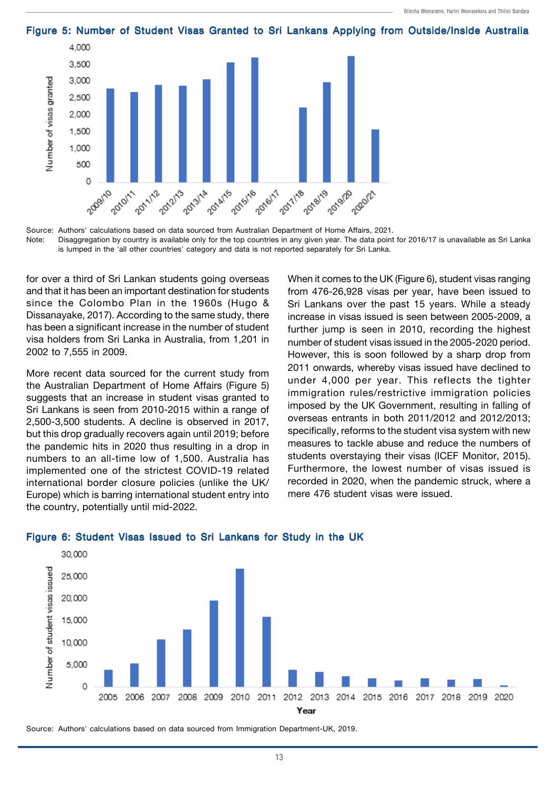

Figure 5: Number of Student Visas Granted to Sri Lankans Applying from Outside/Inside Australia

for over a third of Sri Lankan students going overseas and that it has been an important destination for students since the Colombo Plan in the 1960s (Hugo & Dissanayake, 2017). According to the same study, there has been a significant increase in the number of student visa holders from Sri Lanka in Australia, from 1,201 in 2002 to 7,555 in 2009.

More recent data sourced for the current study from the Australian Department of Home Affairs (Figure 5) suggests that an increase in student visas granted to Sri Lankans is seen from 2010-2015 within a range of 2,500-3,500 students. A decline is observed in 2017, but this drop gradually recovers again until 2019; before the pandemic hits in 2020 thus resulting in a drop in numbers to an all-time low of 1,500. Australia has implemented one of the strictest COVID-19 related international border closure policies (unlike the UK/ Europe) which is barring international student entry into the country, potentially until mid-2022.

When it comes to the UK (Figure 6), student visas ranging from 476-26,928 visas per year, have been issued to Sri Lankans over the past 15 years. While a steady increase in visas issued is seen between 2005-2009, a further jump is seen in 2010, recording the highest number of student visas issued in the 2005-2020 period. However, this is soon followed by a sharp drop from 2011 onwards, whereby visas issued have declined to under 4,000 per year. This reflects the tighter immigration rules/restrictive immigration policies imposed by the UK Government, resulting in falling of overseas entrants in both 2011/2012 and 2012/2013; specifically, reforms to the student visa system with new measures to tackle abuse and reduce the numbers of students overstaying their visas (ICEF Monitor, 2015). Furthermore, the lowest number of visas issued is recorded in 2020, when the pandemic struck, where a mere 476 student visas were issued.



#### Figure 6: Student Visas Issued to Sri Lankans for Study in the UK

Source: Authors' calculations based on data sourced from Immigration Department-UK, 2019.

Source: Authors' calculations based on data sourced from Australian Department of Home Affairs, 2021. Note: Disaggregation by country is available only for the top countries in any given year. The data point for 2016/17 is unavailable as Sri Lanka is lumped in the 'all other countries' category and data is not reported separately for Sri Lanka.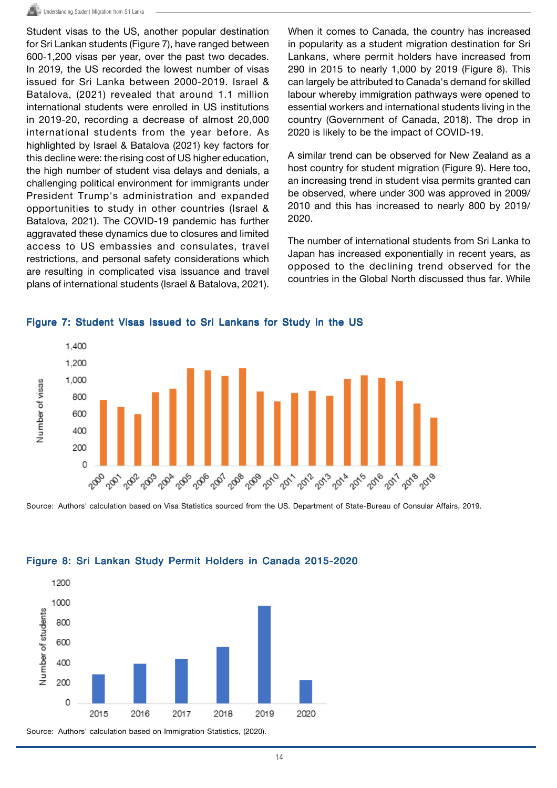Student visas to the US, another popular destination for Sri Lankan students (Figure 7), have ranged between 600-1,200 visas per year, over the past two decades. In 2019, the US recorded the lowest number of visas issued for Sri Lanka between 2000-2019. Israel & Batalova, (2021) revealed that around 1.1 million international students were enrolled in US institutions in 2019-20, recording a decrease of almost 20,000 international students from the year before. As highlighted by Israel & Batalova (2021) key factors for this decline were: the rising cost of US higher education, the high number of student visa delays and denials, a challenging political environment for immigrants under President Trump's administration and expanded opportunities to study in other countries (Israel & Batalova, 2021). The COVID-19 pandemic has further aggravated these dynamics due to closures and limited access to US embassies and consulates, travel restrictions, and personal safety considerations which are resulting in complicated visa issuance and travel plans of international students (Israel & Batalova, 2021).

When it comes to Canada, the country has increased in popularity as a student migration destination for Sri Lankans, where permit holders have increased from 290 in 2015 to nearly 1,000 by 2019 (Figure 8). This can largely be attributed to Canada's demand for skilled labour whereby immigration pathways were opened to essential workers and international students living in the country (Government of Canada, 2018). The drop in 2020 is likely to be the impact of COVID-19.

A similar trend can be observed for New Zealand as a host country for student migration (Figure 9). Here too, an increasing trend in student visa permits granted can be observed, where under 300 was approved in 2009/ 2010 and this has increased to nearly 800 by 2019/ 2020.

The number of international students from Sri Lanka to Japan has increased exponentially in recent years, as opposed to the declining trend observed for the countries in the Global North discussed thus far. While



Figure 7: Student Visas Issued to Sri Lankans for Study in the US

Source: Authors' calculation based on Visa Statistics sourced from the US. Department of State-Bureau of Consular Affairs, 2019.



#### Figure 8: Sri Lankan Study Permit Holders in Canada 2015-2020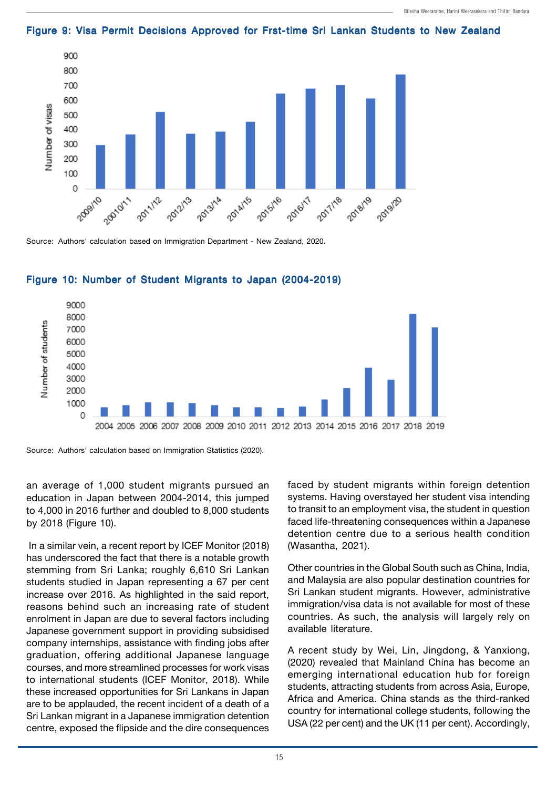

#### Figure 9: Visa Permit Decisions Approved for Frst-time Sri Lankan Students to New Zealand

Source: Authors' calculation based on Immigration Department - New Zealand, 2020.



#### Figure 10: Number of Student Migrants to Japan (2004-2019)

Source: Authors' calculation based on Immigration Statistics (2020).

an average of 1,000 student migrants pursued an education in Japan between 2004-2014, this jumped to 4,000 in 2016 further and doubled to 8,000 students by 2018 (Figure 10).

 In a similar vein, a recent report by ICEF Monitor (2018) has underscored the fact that there is a notable growth stemming from Sri Lanka; roughly 6,610 Sri Lankan students studied in Japan representing a 67 per cent increase over 2016. As highlighted in the said report, reasons behind such an increasing rate of student enrolment in Japan are due to several factors including Japanese government support in providing subsidised company internships, assistance with finding jobs after graduation, offering additional Japanese language courses, and more streamlined processes for work visas to international students (ICEF Monitor, 2018). While these increased opportunities for Sri Lankans in Japan are to be applauded, the recent incident of a death of a Sri Lankan migrant in a Japanese immigration detention centre, exposed the flipside and the dire consequences

faced by student migrants within foreign detention systems. Having overstayed her student visa intending to transit to an employment visa, the student in question faced life-threatening consequences within a Japanese detention centre due to a serious health condition (Wasantha, 2021).

Other countries in the Global South such as China, India, and Malaysia are also popular destination countries for Sri Lankan student migrants. However, administrative immigration/visa data is not available for most of these countries. As such, the analysis will largely rely on available literature.

A recent study by Wei, Lin, Jingdong, & Yanxiong, (2020) revealed that Mainland China has become an emerging international education hub for foreign students, attracting students from across Asia, Europe, Africa and America. China stands as the third-ranked country for international college students, following the USA (22 per cent) and the UK (11 per cent). Accordingly,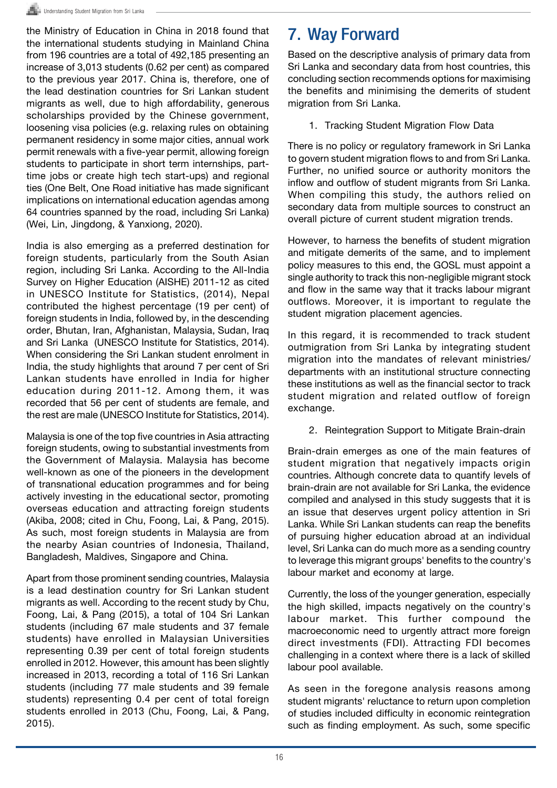the Ministry of Education in China in 2018 found that the international students studying in Mainland China from 196 countries are a total of 492,185 presenting an increase of 3,013 students (0.62 per cent) as compared to the previous year 2017. China is, therefore, one of the lead destination countries for Sri Lankan student migrants as well, due to high affordability, generous scholarships provided by the Chinese government, loosening visa policies (e.g. relaxing rules on obtaining permanent residency in some major cities, annual work permit renewals with a five-year permit, allowing foreign students to participate in short term internships, parttime jobs or create high tech start-ups) and regional ties (One Belt, One Road initiative has made significant implications on international education agendas among 64 countries spanned by the road, including Sri Lanka) (Wei, Lin, Jingdong, & Yanxiong, 2020).

India is also emerging as a preferred destination for foreign students, particularly from the South Asian region, including Sri Lanka. According to the All-India Survey on Higher Education (AISHE) 2011-12 as cited in UNESCO Institute for Statistics, (2014), Nepal contributed the highest percentage (19 per cent) of foreign students in India, followed by, in the descending order, Bhutan, Iran, Afghanistan, Malaysia, Sudan, Iraq and Sri Lanka (UNESCO Institute for Statistics, 2014). When considering the Sri Lankan student enrolment in India, the study highlights that around 7 per cent of Sri Lankan students have enrolled in India for higher education during 2011-12. Among them, it was recorded that 56 per cent of students are female, and the rest are male (UNESCO Institute for Statistics, 2014).

Malaysia is one of the top five countries in Asia attracting foreign students, owing to substantial investments from the Government of Malaysia. Malaysia has become well-known as one of the pioneers in the development of transnational education programmes and for being actively investing in the educational sector, promoting overseas education and attracting foreign students (Akiba, 2008; cited in Chu, Foong, Lai, & Pang, 2015). As such, most foreign students in Malaysia are from the nearby Asian countries of Indonesia, Thailand, Bangladesh, Maldives, Singapore and China.

Apart from those prominent sending countries, Malaysia is a lead destination country for Sri Lankan student migrants as well. According to the recent study by Chu, Foong, Lai, & Pang (2015), a total of 104 Sri Lankan students (including 67 male students and 37 female students) have enrolled in Malaysian Universities representing 0.39 per cent of total foreign students enrolled in 2012. However, this amount has been slightly increased in 2013, recording a total of 116 Sri Lankan students (including 77 male students and 39 female students) representing 0.4 per cent of total foreign students enrolled in 2013 (Chu, Foong, Lai, & Pang, 2015).

# 7. Way Forward

Based on the descriptive analysis of primary data from Sri Lanka and secondary data from host countries, this concluding section recommends options for maximising the benefits and minimising the demerits of student migration from Sri Lanka.

#### 1. Tracking Student Migration Flow Data

There is no policy or regulatory framework in Sri Lanka to govern student migration flows to and from Sri Lanka. Further, no unified source or authority monitors the inflow and outflow of student migrants from Sri Lanka. When compiling this study, the authors relied on secondary data from multiple sources to construct an overall picture of current student migration trends.

However, to harness the benefits of student migration and mitigate demerits of the same, and to implement policy measures to this end, the GOSL must appoint a single authority to track this non-negligible migrant stock and flow in the same way that it tracks labour migrant outflows. Moreover, it is important to regulate the student migration placement agencies.

In this regard, it is recommended to track student outmigration from Sri Lanka by integrating student migration into the mandates of relevant ministries/ departments with an institutional structure connecting these institutions as well as the financial sector to track student migration and related outflow of foreign exchange.

2. Reintegration Support to Mitigate Brain-drain

Brain-drain emerges as one of the main features of student migration that negatively impacts origin countries. Although concrete data to quantify levels of brain-drain are not available for Sri Lanka, the evidence compiled and analysed in this study suggests that it is an issue that deserves urgent policy attention in Sri Lanka. While Sri Lankan students can reap the benefits of pursuing higher education abroad at an individual level, Sri Lanka can do much more as a sending country to leverage this migrant groups' benefits to the country's labour market and economy at large.

Currently, the loss of the younger generation, especially the high skilled, impacts negatively on the country's labour market. This further compound the macroeconomic need to urgently attract more foreign direct investments (FDI). Attracting FDI becomes challenging in a context where there is a lack of skilled labour pool available.

As seen in the foregone analysis reasons among student migrants' reluctance to return upon completion of studies included difficulty in economic reintegration such as finding employment. As such, some specific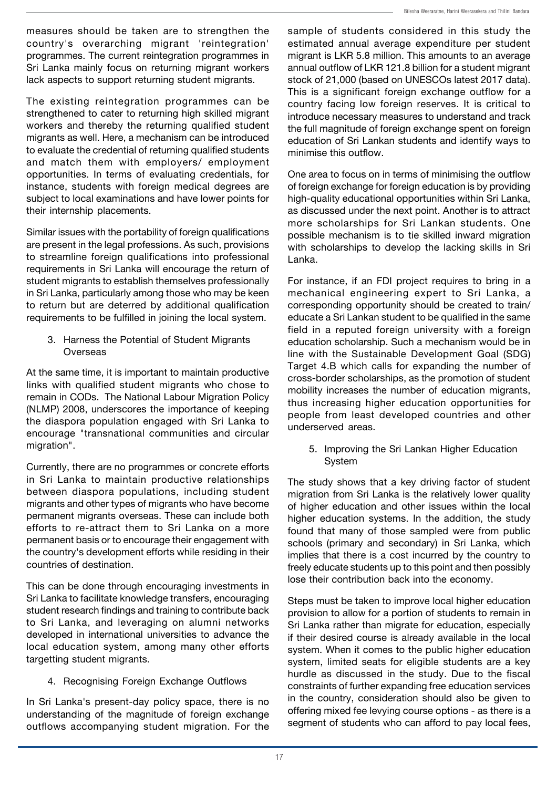measures should be taken are to strengthen the country's overarching migrant 'reintegration' programmes. The current reintegration programmes in Sri Lanka mainly focus on returning migrant workers lack aspects to support returning student migrants.

The existing reintegration programmes can be strengthened to cater to returning high skilled migrant workers and thereby the returning qualified student migrants as well. Here, a mechanism can be introduced to evaluate the credential of returning qualified students and match them with employers/ employment opportunities. In terms of evaluating credentials, for instance, students with foreign medical degrees are subject to local examinations and have lower points for their internship placements.

Similar issues with the portability of foreign qualifications are present in the legal professions. As such, provisions to streamline foreign qualifications into professional requirements in Sri Lanka will encourage the return of student migrants to establish themselves professionally in Sri Lanka, particularly among those who may be keen to return but are deterred by additional qualification requirements to be fulfilled in joining the local system.

3. Harness the Potential of Student Migrants Overseas

At the same time, it is important to maintain productive links with qualified student migrants who chose to remain in CODs. The National Labour Migration Policy (NLMP) 2008, underscores the importance of keeping the diaspora population engaged with Sri Lanka to encourage "transnational communities and circular migration".

Currently, there are no programmes or concrete efforts in Sri Lanka to maintain productive relationships between diaspora populations, including student migrants and other types of migrants who have become permanent migrants overseas. These can include both efforts to re-attract them to Sri Lanka on a more permanent basis or to encourage their engagement with the country's development efforts while residing in their countries of destination.

This can be done through encouraging investments in Sri Lanka to facilitate knowledge transfers, encouraging student research findings and training to contribute back to Sri Lanka, and leveraging on alumni networks developed in international universities to advance the local education system, among many other efforts targetting student migrants.

4. Recognising Foreign Exchange Outflows

In Sri Lanka's present-day policy space, there is no understanding of the magnitude of foreign exchange outflows accompanying student migration. For the sample of students considered in this study the estimated annual average expenditure per student migrant is LKR 5.8 million. This amounts to an average annual outflow of LKR 121.8 billion for a student migrant stock of 21,000 (based on UNESCOs latest 2017 data). This is a significant foreign exchange outflow for a country facing low foreign reserves. It is critical to introduce necessary measures to understand and track the full magnitude of foreign exchange spent on foreign education of Sri Lankan students and identify ways to minimise this outflow.

One area to focus on in terms of minimising the outflow of foreign exchange for foreign education is by providing high-quality educational opportunities within Sri Lanka, as discussed under the next point. Another is to attract more scholarships for Sri Lankan students. One possible mechanism is to tie skilled inward migration with scholarships to develop the lacking skills in Sri Lanka.

For instance, if an FDI project requires to bring in a mechanical engineering expert to Sri Lanka, a corresponding opportunity should be created to train/ educate a Sri Lankan student to be qualified in the same field in a reputed foreign university with a foreign education scholarship. Such a mechanism would be in line with the Sustainable Development Goal (SDG) Target 4.B which calls for expanding the number of cross-border scholarships, as the promotion of student mobility increases the number of education migrants, thus increasing higher education opportunities for people from least developed countries and other underserved areas.

5. Improving the Sri Lankan Higher Education **System** 

The study shows that a key driving factor of student migration from Sri Lanka is the relatively lower quality of higher education and other issues within the local higher education systems. In the addition, the study found that many of those sampled were from public schools (primary and secondary) in Sri Lanka, which implies that there is a cost incurred by the country to freely educate students up to this point and then possibly lose their contribution back into the economy.

Steps must be taken to improve local higher education provision to allow for a portion of students to remain in Sri Lanka rather than migrate for education, especially if their desired course is already available in the local system. When it comes to the public higher education system, limited seats for eligible students are a key hurdle as discussed in the study. Due to the fiscal constraints of further expanding free education services in the country, consideration should also be given to offering mixed fee levying course options - as there is a segment of students who can afford to pay local fees,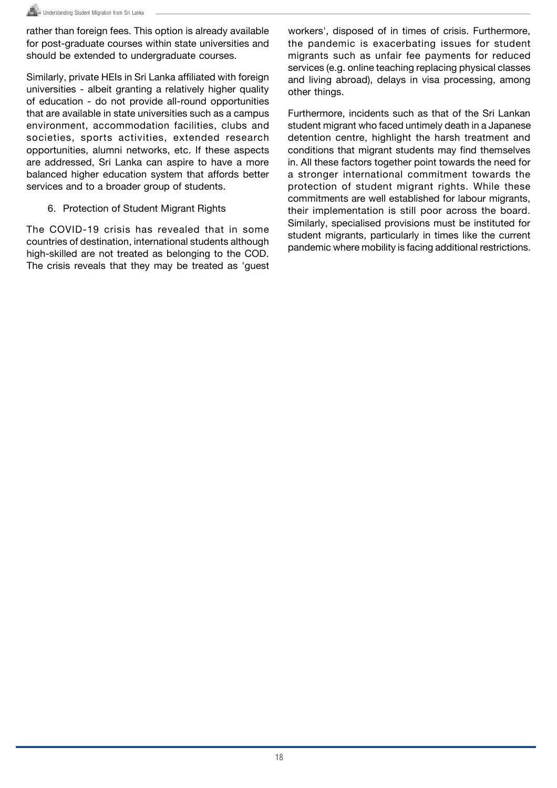rather than foreign fees. This option is already available for post-graduate courses within state universities and should be extended to undergraduate courses.

Similarly, private HEIs in Sri Lanka affiliated with foreign universities - albeit granting a relatively higher quality of education - do not provide all-round opportunities that are available in state universities such as a campus environment, accommodation facilities, clubs and societies, sports activities, extended research opportunities, alumni networks, etc. If these aspects are addressed, Sri Lanka can aspire to have a more balanced higher education system that affords better services and to a broader group of students.

6. Protection of Student Migrant Rights

The COVID-19 crisis has revealed that in some countries of destination, international students although high-skilled are not treated as belonging to the COD. The crisis reveals that they may be treated as 'guest workers', disposed of in times of crisis. Furthermore, the pandemic is exacerbating issues for student migrants such as unfair fee payments for reduced services (e.g. online teaching replacing physical classes and living abroad), delays in visa processing, among other things.

Furthermore, incidents such as that of the Sri Lankan student migrant who faced untimely death in a Japanese detention centre, highlight the harsh treatment and conditions that migrant students may find themselves in. All these factors together point towards the need for a stronger international commitment towards the protection of student migrant rights. While these commitments are well established for labour migrants, their implementation is still poor across the board. Similarly, specialised provisions must be instituted for student migrants, particularly in times like the current pandemic where mobility is facing additional restrictions.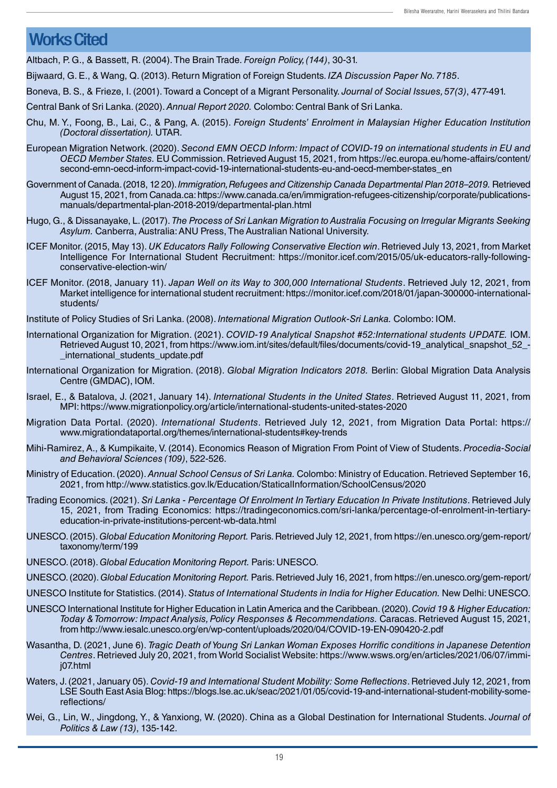### Works Cited

Altbach, P. G., & Bassett, R. (2004). The Brain Trade. Foreign Policy, (144), 30-31.

Bijwaard, G. E., & Wang, Q. (2013). Return Migration of Foreign Students. IZA Discussion Paper No. 7185.

Boneva, B. S., & Frieze, I. (2001). Toward a Concept of a Migrant Personality. Journal of Social Issues, 57(3), 477-491.

Central Bank of Sri Lanka. (2020). Annual Report 2020. Colombo: Central Bank of Sri Lanka.

- Chu, M. Y., Foong, B., Lai, C., & Pang, A. (2015). Foreign Students' Enrolment in Malaysian Higher Education Institution (Doctoral dissertation). UTAR.
- European Migration Network. (2020). Second EMN OECD Inform: Impact of COVID-19 on international students in EU and OECD Member States. EU Commission. Retrieved August 15, 2021, from https://ec.europa.eu/home-affairs/content/ second-emn-oecd-inform-impact-covid-19-international-students-eu-and-oecd-member-states\_en
- Government of Canada. (2018, 12 20). Immigration, Refugees and Citizenship Canada Departmental Plan 2018–2019. Retrieved August 15, 2021, from Canada.ca: https://www.canada.ca/en/immigration-refugees-citizenship/corporate/publicationsmanuals/departmental-plan-2018-2019/departmental-plan.html
- Hugo, G., & Dissanayake, L. (2017). The Process of Sri Lankan Migration to Australia Focusing on Irregular Migrants Seeking Asylum. Canberra, Australia: ANU Press, The Australian National University.
- ICEF Monitor. (2015, May 13). UK Educators Rally Following Conservative Election win. Retrieved July 13, 2021, from Market Intelligence For International Student Recruitment: https://monitor.icef.com/2015/05/uk-educators-rally-followingconservative-election-win/
- ICEF Monitor. (2018, January 11). Japan Well on its Way to 300,000 International Students. Retrieved July 12, 2021, from Market intelligence for international student recruitment: https://monitor.icef.com/2018/01/japan-300000-internationalstudents/

Institute of Policy Studies of Sri Lanka. (2008). International Migration Outlook-Sri Lanka. Colombo: IOM.

- International Organization for Migration. (2021). COVID-19 Analytical Snapshot #52:International students UPDATE. IOM. Retrieved August 10, 2021, from https://www.iom.int/sites/default/files/documents/covid-19\_analytical\_snapshot\_52\_-\_international\_students\_update.pdf
- International Organization for Migration. (2018). Global Migration Indicators 2018. Berlin: Global Migration Data Analysis Centre (GMDAC), IOM.
- Israel, E., & Batalova, J. (2021, January 14). International Students in the United States. Retrieved August 11, 2021, from MPI: https://www.migrationpolicy.org/article/international-students-united-states-2020
- Migration Data Portal. (2020). International Students. Retrieved July 12, 2021, from Migration Data Portal: https:// www.migrationdataportal.org/themes/international-students#key-trends
- Mihi-Ramirez, A., & Kumpikaite, V. (2014). Economics Reason of Migration From Point of View of Students. Procedia-Social and Behavioral Sciences (109), 522-526.
- Ministry of Education. (2020). Annual School Census of Sri Lanka. Colombo: Ministry of Education. Retrieved September 16, 2021, from http://www.statistics.gov.lk/Education/StaticalInformation/SchoolCensus/2020
- Trading Economics. (2021). Sri Lanka Percentage Of Enrolment In Tertiary Education In Private Institutions. Retrieved July 15, 2021, from Trading Economics: https://tradingeconomics.com/sri-lanka/percentage-of-enrolment-in-tertiaryeducation-in-private-institutions-percent-wb-data.html
- UNESCO. (2015). Global Education Monitoring Report. Paris. Retrieved July 12, 2021, from https://en.unesco.org/gem-report/ taxonomy/term/199
- UNESCO. (2018). Global Education Monitoring Report. Paris: UNESCO.
- UNESCO. (2020). Global Education Monitoring Report. Paris. Retrieved July 16, 2021, from https://en.unesco.org/gem-report/
- UNESCO Institute for Statistics. (2014). Status of International Students in India for Higher Education. New Delhi: UNESCO.
- UNESCO International Institute for Higher Education in Latin America and the Caribbean. (2020). Covid 19 & Higher Education: Today & Tomorrow: Impact Analysis, Policy Responses & Recommendations. Caracas. Retrieved August 15, 2021, from http://www.iesalc.unesco.org/en/wp-content/uploads/2020/04/COVID-19-EN-090420-2.pdf
- Wasantha, D. (2021, June 6). Tragic Death of Young Sri Lankan Woman Exposes Horrific conditions in Japanese Detention Centres. Retrieved July 20, 2021, from World Socialist Website: https://www.wsws.org/en/articles/2021/06/07/immij07.html
- Waters, J. (2021, January 05). Covid-19 and International Student Mobility: Some Reflections. Retrieved July 12, 2021, from LSE South East Asia Blog: https://blogs.lse.ac.uk/seac/2021/01/05/covid-19-and-international-student-mobility-somereflections/
- Wei, G., Lin, W., Jingdong, Y., & Yanxiong, W. (2020). China as a Global Destination for International Students. Journal of Politics & Law (13), 135-142.